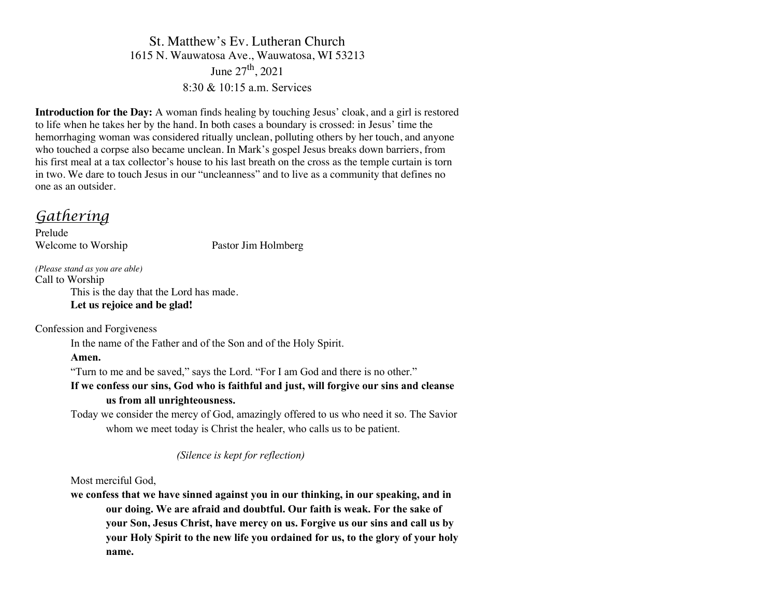## St. Matthew's Ev. Lutheran Church 1615 N. Wauwatosa Ave., Wauwatosa, WI 53213 June  $27^{th}$ ,  $2021$ 8:30 & 10:15 a.m. Services

**Introduction for the Day:** A woman finds healing by touching Jesus' cloak, and a girl is restored to life when he takes her by the hand. In both cases a boundary is crossed: in Jesus' time the hemorrhaging woman was considered ritually unclean, polluting others by her touch, and anyone who touched a corpse also became unclean. In Mark's gospel Jesus breaks down barriers, from his first meal at a tax collector's house to his last breath on the cross as the temple curtain is torn in two. We dare to touch Jesus in our "uncleanness" and to live as a community that defines no one as an outsider.

*Gathering*

Prelude Welcome to Worship Pastor Jim Holmberg

*(Please stand as you are able)*

Call to Worship

This is the day that the Lord has made. **Let us rejoice and be glad!**

Confession and Forgiveness

In the name of the Father and of the Son and of the Holy Spirit.

## **Amen.**

"Turn to me and be saved," says the Lord. "For I am God and there is no other."

**If we confess our sins, God who is faithful and just, will forgive our sins and cleanse us from all unrighteousness.**

Today we consider the mercy of God, amazingly offered to us who need it so. The Savior whom we meet today is Christ the healer, who calls us to be patient.

*(Silence is kept for reflection)*

Most merciful God,

**we confess that we have sinned against you in our thinking, in our speaking, and in our doing. We are afraid and doubtful. Our faith is weak. For the sake of your Son, Jesus Christ, have mercy on us. Forgive us our sins and call us by your Holy Spirit to the new life you ordained for us, to the glory of your holy name.**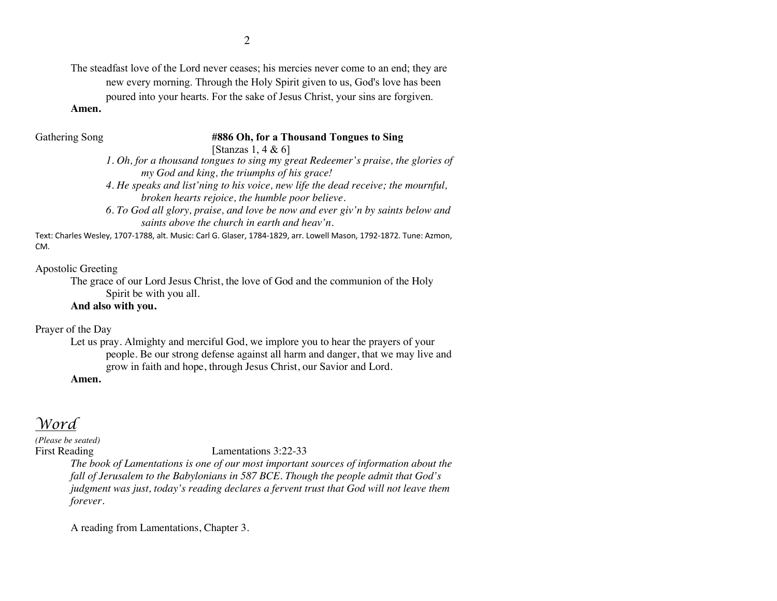The steadfast love of the Lord never ceases; his mercies never come to an end; they are new every morning. Through the Holy Spirit given to us, God's love has been poured into your hearts. For the sake of Jesus Christ, your sins are forgiven.

#### **Amen.**

## Gathering Song **#886 Oh, for a Thousand Tongues to Sing**

[Stanzas 1, 4 & 6]

*1. Oh, for a thousand tongues to sing my great Redeemer's praise, the glories of my God and king, the triumphs of his grace!*

*4. He speaks and list'ning to his voice, new life the dead receive; the mournful, broken hearts rejoice, the humble poor believe.*

*6. To God all glory, praise, and love be now and ever giv'n by saints below and saints above the church in earth and heav'n.*

Text: Charles Wesley, 1707-1788, alt. Music: Carl G. Glaser, 1784-1829, arr. Lowell Mason, 1792-1872. Tune: Azmon, CM.

Apostolic Greeting

The grace of our Lord Jesus Christ, the love of God and the communion of the Holy Spirit be with you all.

## **And also with you.**

## Prayer of the Day

Let us pray. Almighty and merciful God, we implore you to hear the prayers of your people. Be our strong defense against all harm and danger, that we may live and grow in faith and hope, through Jesus Christ, our Savior and Lord.

**Amen.**

# *Word*

*(Please be seated)*

First Reading Lamentations 3:22-33

*The book of Lamentations is one of our most important sources of information about the fall of Jerusalem to the Babylonians in 587 BCE. Though the people admit that God's judgment was just, today's reading declares a fervent trust that God will not leave them forever.*

A reading from Lamentations, Chapter 3.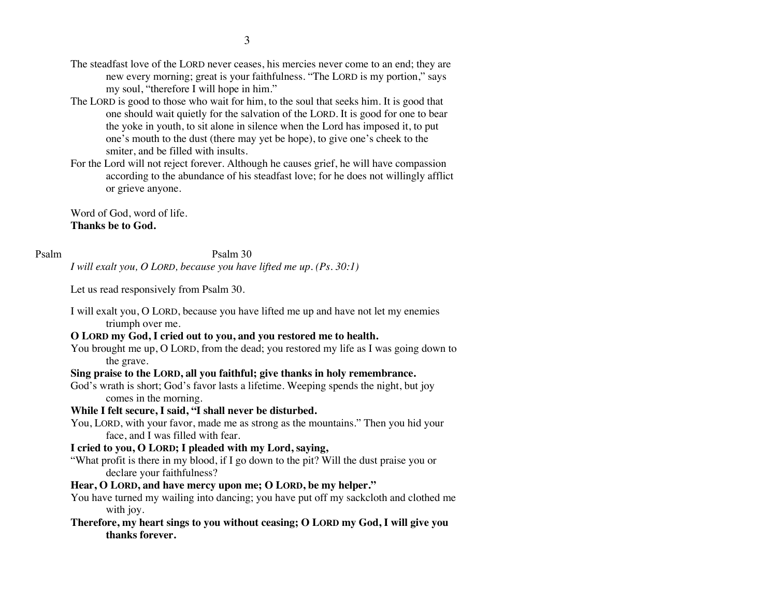- The steadfast love of the LORD never ceases, his mercies never come to an end; they are new every morning; great is your faithfulness. "The LORD is my portion," says my soul, "therefore I will hope in him."
- The LORD is good to those who wait for him, to the soul that seeks him. It is good that one should wait quietly for the salvation of the LORD. It is good for one to bear the yoke in youth, to sit alone in silence when the Lord has imposed it, to put one's mouth to the dust (there may yet be hope), to give one's cheek to the smiter, and be filled with insults.
- For the Lord will not reject forever. Although he causes grief, he will have compassion according to the abundance of his steadfast love; for he does not willingly afflict or grieve anyone.

Word of God, word of life. **Thanks be to God.**

#### Psalm Psalm 30

*I will exalt you, O LORD, because you have lifted me up. (Ps. 30:1)*

Let us read responsively from Psalm 30.

I will exalt you, O LORD, because you have lifted me up and have not let my enemies triumph over me.

## **O LORD my God, I cried out to you, and you restored me to health.**

You brought me up, O LORD, from the dead; you restored my life as I was going down to the grave.

## **Sing praise to the LORD, all you faithful; give thanks in holy remembrance.**

God's wrath is short; God's favor lasts a lifetime. Weeping spends the night, but joy comes in the morning.

## **While I felt secure, I said, "I shall never be disturbed.**

You, LORD, with your favor, made me as strong as the mountains." Then you hid your face, and I was filled with fear.

## **I cried to you, O LORD; I pleaded with my Lord, saying,**

"What profit is there in my blood, if I go down to the pit? Will the dust praise you or declare your faithfulness?

## **Hear, O LORD, and have mercy upon me; O LORD, be my helper."**

- You have turned my wailing into dancing; you have put off my sackcloth and clothed me with joy.
- **Therefore, my heart sings to you without ceasing; O LORD my God, I will give you thanks forever.**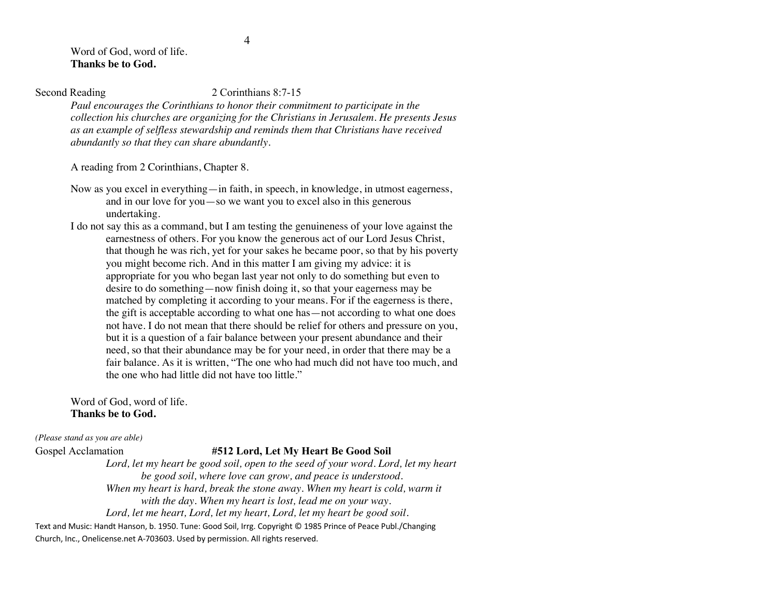Word of God, word of life. **Thanks be to God.**

#### Second Reading 2 Corinthians 8:7-15

*Paul encourages the Corinthians to honor their commitment to participate in the collection his churches are organizing for the Christians in Jerusalem. He presents Jesus as an example of selfless stewardship and reminds them that Christians have received abundantly so that they can share abundantly.*

A reading from 2 Corinthians, Chapter 8.

- Now as you excel in everything—in faith, in speech, in knowledge, in utmost eagerness, and in our love for you—so we want you to excel also in this generous undertaking.
- I do not say this as a command, but I am testing the genuineness of your love against the earnestness of others. For you know the generous act of our Lord Jesus Christ, that though he was rich, yet for your sakes he became poor, so that by his poverty you might become rich. And in this matter I am giving my advice: it is appropriate for you who began last year not only to do something but even to desire to do something—now finish doing it, so that your eagerness may be matched by completing it according to your means. For if the eagerness is there, the gift is acceptable according to what one has—not according to what one does not have. I do not mean that there should be relief for others and pressure on you, but it is a question of a fair balance between your present abundance and their need, so that their abundance may be for your need, in order that there may be a fair balance. As it is written, "The one who had much did not have too much, and the one who had little did not have too little."

Word of God, word of life. **Thanks be to God.**

*(Please stand as you are able)*

#### Gospel Acclamation **#512 Lord, Let My Heart Be Good Soil**

Lord, let my heart be good soil, open to the seed of your word. Lord, let my heart *be good soil, where love can grow, and peace is understood. When my heart is hard, break the stone away. When my heart is cold, warm it with the day. When my heart is lost, lead me on your way. Lord, let me heart, Lord, let my heart, Lord, let my heart be good soil.*

Text and Music: Handt Hanson, b. 1950. Tune: Good Soil, Irrg. Copyright © 1985 Prince of Peace Publ./Changing Church, Inc., Onelicense.net A-703603. Used by permission. All rights reserved.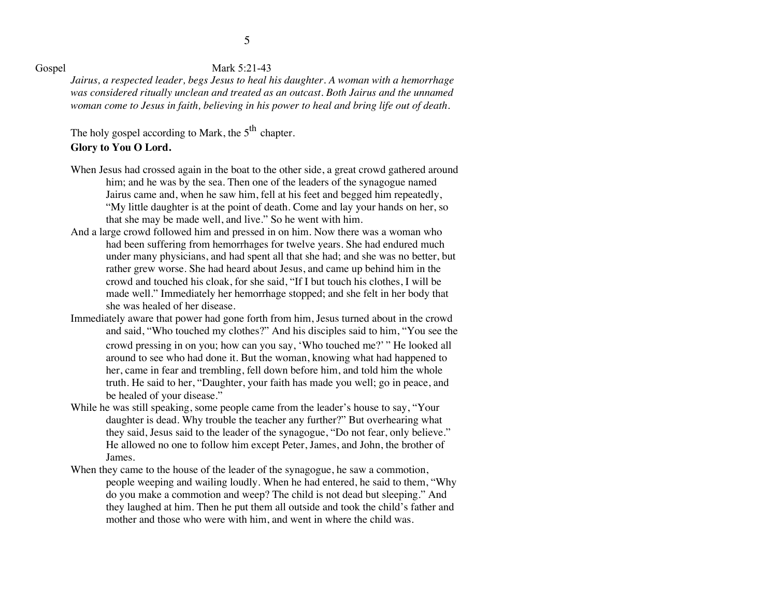#### Gospel Mark 5:21-43

*Jairus, a respected leader, begs Jesus to heal his daughter. A woman with a hemorrhage was considered ritually unclean and treated as an outcast. Both Jairus and the unnamed woman come to Jesus in faith, believing in his power to heal and bring life out of death.*

The holy gospel according to Mark, the  $5<sup>th</sup>$  chapter.

## **Glory to You O Lord.**

- When Jesus had crossed again in the boat to the other side, a great crowd gathered around him; and he was by the sea. Then one of the leaders of the synagogue named Jairus came and, when he saw him, fell at his feet and begged him repeatedly, "My little daughter is at the point of death. Come and lay your hands on her, so that she may be made well, and live." So he went with him.
- And a large crowd followed him and pressed in on him. Now there was a woman who had been suffering from hemorrhages for twelve years. She had endured much under many physicians, and had spent all that she had; and she was no better, but rather grew worse. She had heard about Jesus, and came up behind him in the crowd and touched his cloak, for she said, "If I but touch his clothes, I will be made well." Immediately her hemorrhage stopped; and she felt in her body that she was healed of her disease.
- Immediately aware that power had gone forth from him, Jesus turned about in the crowd and said, "Who touched my clothes?" And his disciples said to him, "You see the crowd pressing in on you; how can you say, 'Who touched me?' " He looked all around to see who had done it. But the woman, knowing what had happened to her, came in fear and trembling, fell down before him, and told him the whole truth. He said to her, "Daughter, your faith has made you well; go in peace, and be healed of your disease."
- While he was still speaking, some people came from the leader's house to say, "Your daughter is dead. Why trouble the teacher any further?" But overhearing what they said, Jesus said to the leader of the synagogue, "Do not fear, only believe." He allowed no one to follow him except Peter, James, and John, the brother of James.
- When they came to the house of the leader of the synagogue, he saw a commotion, people weeping and wailing loudly. When he had entered, he said to them, "Why do you make a commotion and weep? The child is not dead but sleeping." And they laughed at him. Then he put them all outside and took the child's father and mother and those who were with him, and went in where the child was.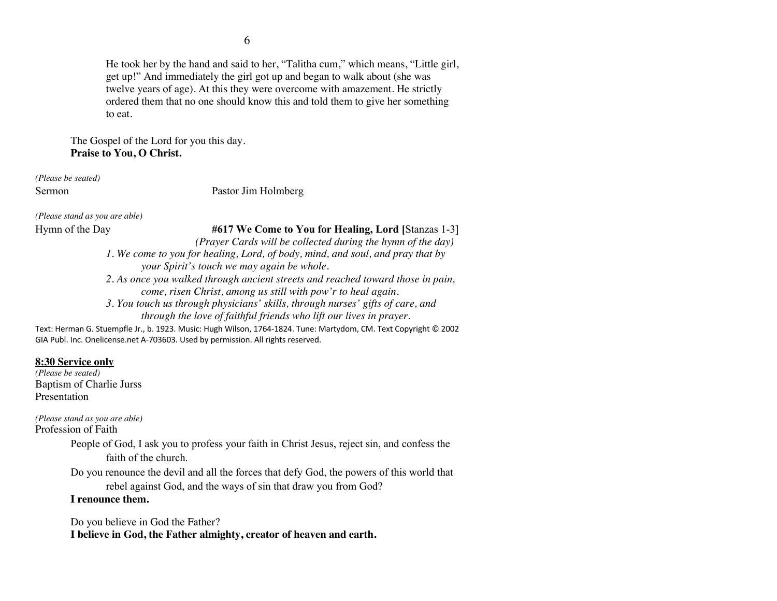He took her by the hand and said to her, "Talitha cum," which means, "Little girl, get up!" And immediately the girl got up and began to walk about (she was twelve years of age). At this they were overcome with amazement. He strictly ordered them that no one should know this and told them to give her something to eat.

The Gospel of the Lord for you this day. **Praise to You, O Christ.**

*(Please be seated)*

Sermon Pastor Jim Holmberg

*(Please stand as you are able)*

Hymn of the Day **#617 We Come to You for Healing, Lord [**Stanzas 1-3]

 *(Prayer Cards will be collected during the hymn of the day) 1. We come to you for healing, Lord, of body, mind, and soul, and pray that by your Spirit's touch we may again be whole.*

*2. As once you walked through ancient streets and reached toward those in pain, come, risen Christ, among us still with pow'r to heal again.*

*3. You touch us through physicians' skills, through nurses' gifts of care, and through the love of faithful friends who lift our lives in prayer.*

Text: Herman G. Stuempfle Jr., b. 1923. Music: Hugh Wilson, 1764-1824. Tune: Martydom, CM. Text Copyright © 2002 GIA Publ. Inc. Onelicense.net A-703603. Used by permission. All rights reserved.

## **8:30 Service only**

*(Please be seated)* Baptism of Charlie Jurss Presentation

*(Please stand as you are able)* Profession of Faith

> People of God, I ask you to profess your faith in Christ Jesus, reject sin, and confess the faith of the church.

> Do you renounce the devil and all the forces that defy God, the powers of this world that rebel against God, and the ways of sin that draw you from God?

## **I renounce them.**

Do you believe in God the Father? **I believe in God, the Father almighty, creator of heaven and earth.**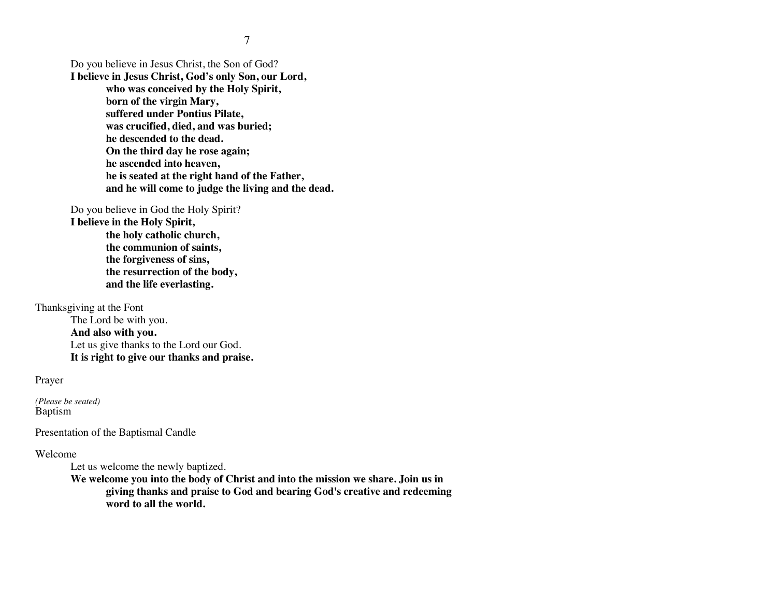Do you believe in Jesus Christ, the Son of God?

**I believe in Jesus Christ, God's only Son, our Lord, who was conceived by the Holy Spirit, born of the virgin Mary, suffered under Pontius Pilate, was crucified, died, and was buried; he descended to the dead. On the third day he rose again; he ascended into heaven, he is seated at the right hand of the Father, and he will come to judge the living and the dead.**

Do you believe in God the Holy Spirit? **I believe in the Holy Spirit, the holy catholic church, the communion of saints, the forgiveness of sins,**

**the resurrection of the body, and the life everlasting.**

Thanksgiving at the Font

The Lord be with you. **And also with you.** Let us give thanks to the Lord our God. **It is right to give our thanks and praise.**

Prayer

*(Please be seated)* Baptism

Presentation of the Baptismal Candle

#### Welcome

Let us welcome the newly baptized.

**We welcome you into the body of Christ and into the mission we share. Join us in giving thanks and praise to God and bearing God's creative and redeeming word to all the world.**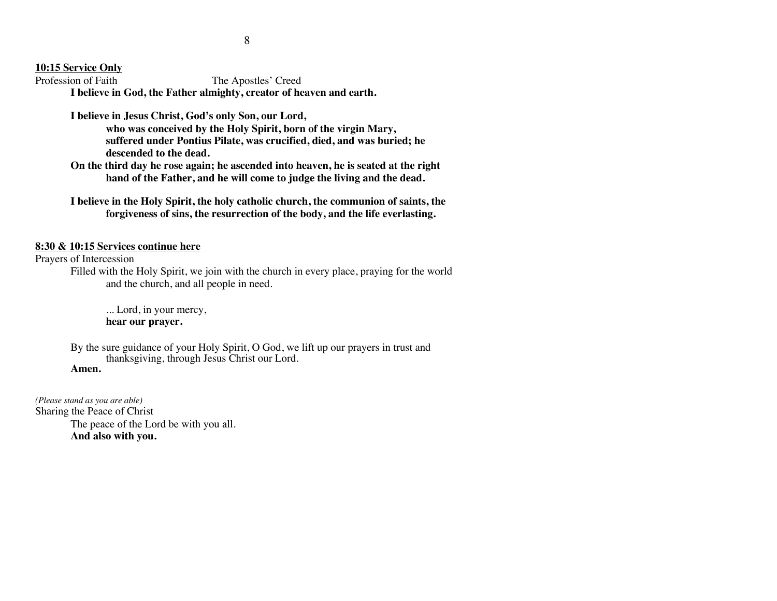#### **10:15 Service Only**

## Profession of Faith The Apostles' Creed **I believe in God, the Father almighty, creator of heaven and earth.**

**I believe in Jesus Christ, God's only Son, our Lord,**

**who was conceived by the Holy Spirit, born of the virgin Mary, suffered under Pontius Pilate, was crucified, died, and was buried; he descended to the dead.**

**On the third day he rose again; he ascended into heaven, he is seated at the right hand of the Father, and he will come to judge the living and the dead.**

**I believe in the Holy Spirit, the holy catholic church, the communion of saints, the forgiveness of sins, the resurrection of the body, and the life everlasting.**

#### **8:30 & 10:15 Services continue here**

Prayers of Intercession

Filled with the Holy Spirit, we join with the church in every place, praying for the world and the church, and all people in need.

... Lord, in your mercy, **hear our prayer.**

By the sure guidance of your Holy Spirit, O God, we lift up our prayers in trust and thanksgiving, through Jesus Christ our Lord.

#### **Amen.**

*(Please stand as you are able)* Sharing the Peace of Christ The peace of the Lord be with you all. **And also with you.**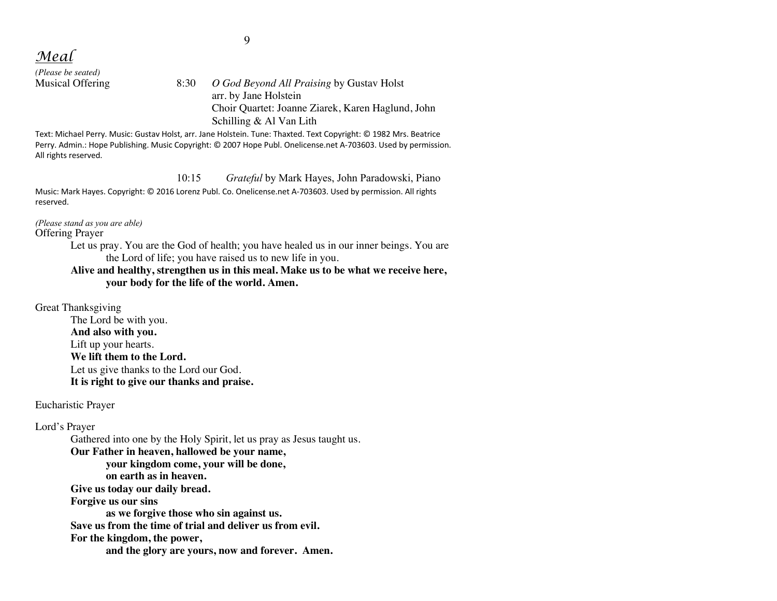9

*Meal (Please be seated)*

Musical Offering 8:30 *O God Beyond All Praising* by Gustav Holst arr. by Jane Holstein Choir Quartet: Joanne Ziarek, Karen Haglund, John Schilling & Al Van Lith

Text: Michael Perry. Music: Gustav Holst, arr. Jane Holstein. Tune: Thaxted. Text Copyright: © 1982 Mrs. Beatrice Perry. Admin.: Hope Publishing. Music Copyright: © 2007 Hope Publ. Onelicense.net A-703603. Used by permission. All rights reserved.

10:15 *Grateful* by Mark Hayes, John Paradowski, Piano Music: Mark Hayes. Copyright: © 2016 Lorenz Publ. Co. Onelicense.net A-703603. Used by permission. All rights reserved.

*(Please stand as you are able)* Offering Prayer

Let us pray. You are the God of health; you have healed us in our inner beings. You are the Lord of life; you have raised us to new life in you.

## **Alive and healthy, strengthen us in this meal. Make us to be what we receive here, your body for the life of the world. Amen.**

Great Thanksgiving

The Lord be with you. **And also with you.** Lift up your hearts. **We lift them to the Lord.** Let us give thanks to the Lord our God. **It is right to give our thanks and praise.**

Eucharistic Prayer

## Lord's Prayer

Gathered into one by the Holy Spirit, let us pray as Jesus taught us.

**Our Father in heaven, hallowed be your name, your kingdom come, your will be done, on earth as in heaven. Give us today our daily bread. Forgive us our sins as we forgive those who sin against us. Save us from the time of trial and deliver us from evil. For the kingdom, the power, and the glory are yours, now and forever. Amen.**